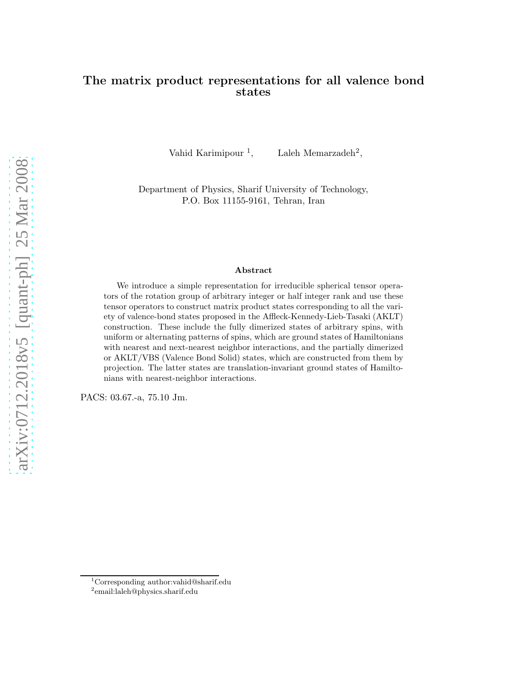# The matrix product representations for all valence bond states

Vahid Karimipour<sup>1</sup>,

, Laleh Memarzadeh<sup>2</sup> ,

Department of Physics, Sharif University of Technology, P.O. Box 11155-9161, Tehran, Iran

#### Abstract

We introduce a simple representation for irreducible spherical tensor operators of the rotation group of arbitrary integer or half integer rank and use these tensor operators to construct matrix product states corresponding to all the variety of valence-bond states proposed in the Affleck-Kennedy-Lieb-Tasaki (AKLT) construction. These include the fully dimerized states of arbitrary spins, with uniform or alternating patterns of spins, which are ground states of Hamiltonians with nearest and next-nearest neighbor interactions, and the partially dimerized or AKLT/VBS (Valence Bond Solid) states, which are constructed from them by projection. The latter states are translation-invariant ground states of Hamiltonians with nearest-neighbor interactions.

PACS: 03.67.-a, 75.10 Jm.

<sup>1</sup>Corresponding author:vahid@sharif.edu

<sup>2</sup> email:laleh@physics.sharif.edu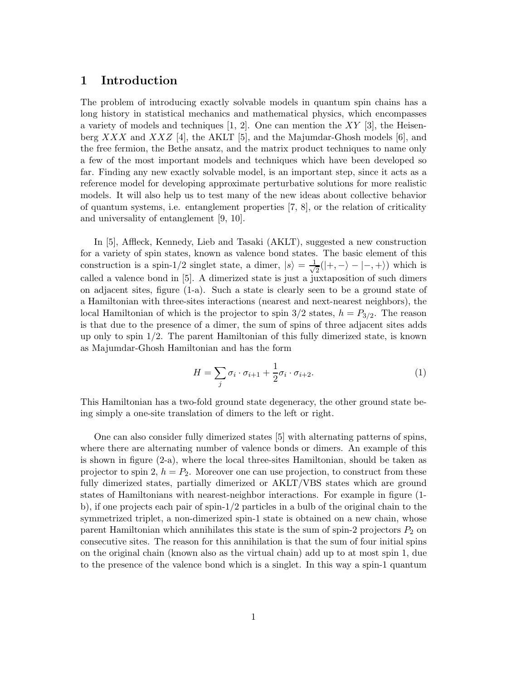### 1 Introduction

The problem of introducing exactly solvable models in quantum spin chains has a long history in statistical mechanics and mathematical physics, which encompasses a variety of models and techniques  $[1, 2]$ . One can mention the XY  $[3]$ , the Heisenberg XXX and XXZ [4], the AKLT [5], and the Majumdar-Ghosh models [6], and the free fermion, the Bethe ansatz, and the matrix product techniques to name only a few of the most important models and techniques which have been developed so far. Finding any new exactly solvable model, is an important step, since it acts as a reference model for developing approximate perturbative solutions for more realistic models. It will also help us to test many of the new ideas about collective behavior of quantum systems, i.e. entanglement properties [7, 8], or the relation of criticality and universality of entanglement [9, 10].

In [5], Affleck, Kennedy, Lieb and Tasaki (AKLT), suggested a new construction for a variety of spin states, known as valence bond states. The basic element of this construction is a spin-1/2 singlet state, a dimer,  $|s\rangle = \frac{1}{\sqrt{s}}$  $\frac{1}{2}(|+, -\rangle - |-, +\rangle)$  which is called a valence bond in [5]. A dimerized state is just a juxtaposition of such dimers on adjacent sites, figure (1-a). Such a state is clearly seen to be a ground state of a Hamiltonian with three-sites interactions (nearest and next-nearest neighbors), the local Hamiltonian of which is the projector to spin  $3/2$  states,  $h = P_{3/2}$ . The reason is that due to the presence of a dimer, the sum of spins of three adjacent sites adds up only to spin  $1/2$ . The parent Hamiltonian of this fully dimerized state, is known as Majumdar-Ghosh Hamiltonian and has the form

$$
H = \sum_{j} \sigma_i \cdot \sigma_{i+1} + \frac{1}{2} \sigma_i \cdot \sigma_{i+2}.
$$
 (1)

This Hamiltonian has a two-fold ground state degeneracy, the other ground state being simply a one-site translation of dimers to the left or right.

One can also consider fully dimerized states [5] with alternating patterns of spins, where there are alternating number of valence bonds or dimers. An example of this is shown in figure (2-a), where the local three-sites Hamiltonian, should be taken as projector to spin 2,  $h = P_2$ . Moreover one can use projection, to construct from these fully dimerized states, partially dimerized or AKLT/VBS states which are ground states of Hamiltonians with nearest-neighbor interactions. For example in figure (1 b), if one projects each pair of spin-1/2 particles in a bulb of the original chain to the symmetrized triplet, a non-dimerized spin-1 state is obtained on a new chain, whose parent Hamiltonian which annihilates this state is the sum of spin-2 projectors  $P_2$  on consecutive sites. The reason for this annihilation is that the sum of four initial spins on the original chain (known also as the virtual chain) add up to at most spin 1, due to the presence of the valence bond which is a singlet. In this way a spin-1 quantum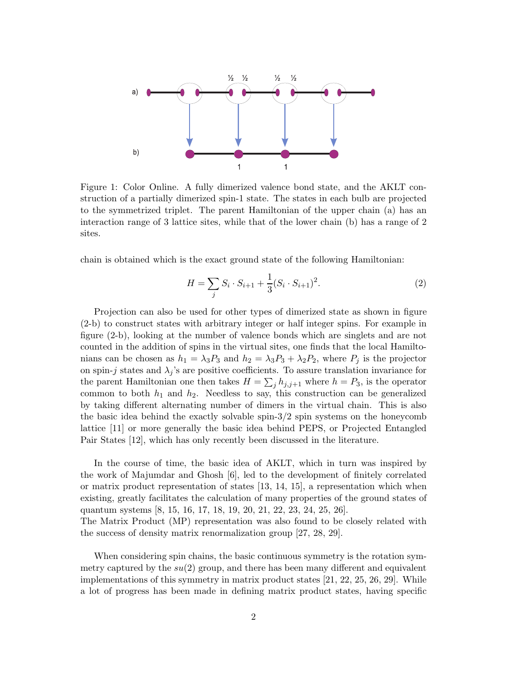

Figure 1: Color Online. A fully dimerized valence bond state, and the AKLT construction of a partially dimerized spin-1 state. The states in each bulb are projected to the symmetrized triplet. The parent Hamiltonian of the upper chain (a) has an interaction range of 3 lattice sites, while that of the lower chain (b) has a range of 2 sites.

chain is obtained which is the exact ground state of the following Hamiltonian:

$$
H = \sum_{j} S_i \cdot S_{i+1} + \frac{1}{3} (S_i \cdot S_{i+1})^2.
$$
 (2)

Projection can also be used for other types of dimerized state as shown in figure (2-b) to construct states with arbitrary integer or half integer spins. For example in figure (2-b), looking at the number of valence bonds which are singlets and are not counted in the addition of spins in the virtual sites, one finds that the local Hamiltonians can be chosen as  $h_1 = \lambda_3 P_3$  and  $h_2 = \lambda_3 P_3 + \lambda_2 P_2$ , where  $P_j$  is the projector on spin-j states and  $\lambda_j$ 's are positive coefficients. To assure translation invariance for the parent Hamiltonian one then takes  $H = \sum_j h_{j,j+1}$  where  $h = P_3$ , is the operator common to both  $h_1$  and  $h_2$ . Needless to say, this construction can be generalized by taking different alternating number of dimers in the virtual chain. This is also the basic idea behind the exactly solvable spin-3/2 spin systems on the honeycomb lattice [11] or more generally the basic idea behind PEPS, or Projected Entangled Pair States [12], which has only recently been discussed in the literature.

In the course of time, the basic idea of AKLT, which in turn was inspired by the work of Majumdar and Ghosh [6], led to the development of finitely correlated or matrix product representation of states [13, 14, 15], a representation which when existing, greatly facilitates the calculation of many properties of the ground states of quantum systems [8, 15, 16, 17, 18, 19, 20, 21, 22, 23, 24, 25, 26].

The Matrix Product (MP) representation was also found to be closely related with the success of density matrix renormalization group [27, 28, 29].

When considering spin chains, the basic continuous symmetry is the rotation symmetry captured by the  $su(2)$  group, and there has been many different and equivalent implementations of this symmetry in matrix product states [21, 22, 25, 26, 29]. While a lot of progress has been made in defining matrix product states, having specific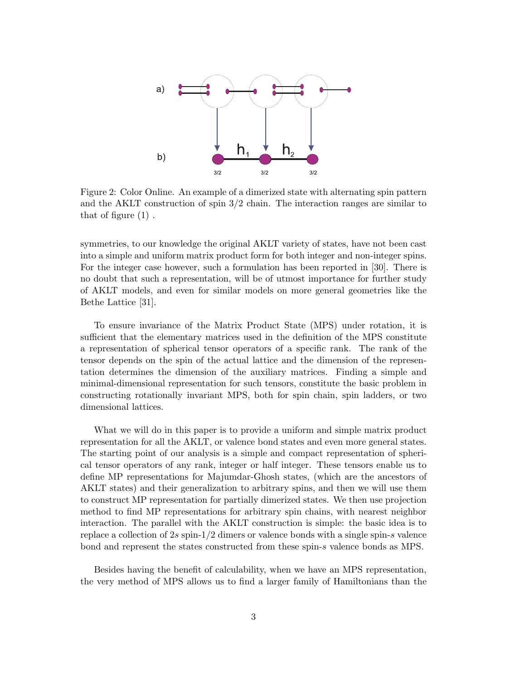

Figure 2: Color Online. An example of a dimerized state with alternating spin pattern and the AKLT construction of spin 3/2 chain. The interaction ranges are similar to that of figure (1) .

symmetries, to our knowledge the original AKLT variety of states, have not been cast into a simple and uniform matrix product form for both integer and non-integer spins. For the integer case however, such a formulation has been reported in [30]. There is no doubt that such a representation, will be of utmost importance for further study of AKLT models, and even for similar models on more general geometries like the Bethe Lattice [31].

To ensure invariance of the Matrix Product State (MPS) under rotation, it is sufficient that the elementary matrices used in the definition of the MPS constitute a representation of spherical tensor operators of a specific rank. The rank of the tensor depends on the spin of the actual lattice and the dimension of the representation determines the dimension of the auxiliary matrices. Finding a simple and minimal-dimensional representation for such tensors, constitute the basic problem in constructing rotationally invariant MPS, both for spin chain, spin ladders, or two dimensional lattices.

What we will do in this paper is to provide a uniform and simple matrix product representation for all the AKLT, or valence bond states and even more general states. The starting point of our analysis is a simple and compact representation of spherical tensor operators of any rank, integer or half integer. These tensors enable us to define MP representations for Majumdar-Ghosh states, (which are the ancestors of AKLT states) and their generalization to arbitrary spins, and then we will use them to construct MP representation for partially dimerized states. We then use projection method to find MP representations for arbitrary spin chains, with nearest neighbor interaction. The parallel with the AKLT construction is simple: the basic idea is to replace a collection of  $2s$  spin-1/2 dimers or valence bonds with a single spin-s valence bond and represent the states constructed from these spin-s valence bonds as MPS.

Besides having the benefit of calculability, when we have an MPS representation, the very method of MPS allows us to find a larger family of Hamiltonians than the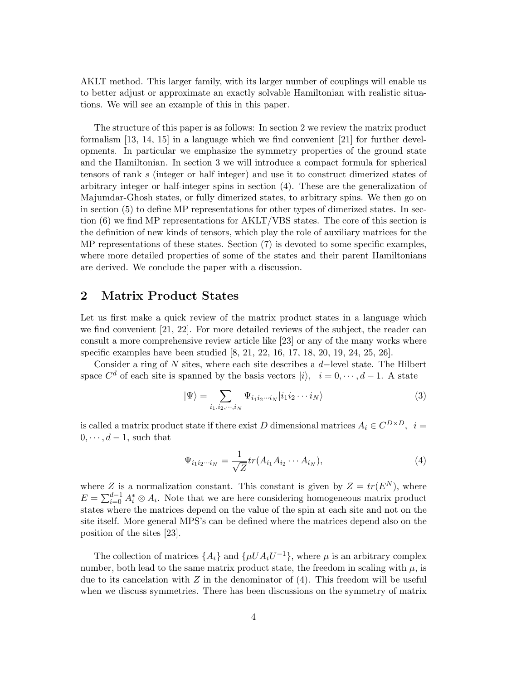AKLT method. This larger family, with its larger number of couplings will enable us to better adjust or approximate an exactly solvable Hamiltonian with realistic situations. We will see an example of this in this paper.

The structure of this paper is as follows: In section 2 we review the matrix product formalism [13, 14, 15] in a language which we find convenient [21] for further developments. In particular we emphasize the symmetry properties of the ground state and the Hamiltonian. In section 3 we will introduce a compact formula for spherical tensors of rank s (integer or half integer) and use it to construct dimerized states of arbitrary integer or half-integer spins in section (4). These are the generalization of Majumdar-Ghosh states, or fully dimerized states, to arbitrary spins. We then go on in section (5) to define MP representations for other types of dimerized states. In section (6) we find MP representations for AKLT/VBS states. The core of this section is the definition of new kinds of tensors, which play the role of auxiliary matrices for the MP representations of these states. Section (7) is devoted to some specific examples, where more detailed properties of some of the states and their parent Hamiltonians are derived. We conclude the paper with a discussion.

### 2 Matrix Product States

Let us first make a quick review of the matrix product states in a language which we find convenient [21, 22]. For more detailed reviews of the subject, the reader can consult a more comprehensive review article like [23] or any of the many works where specific examples have been studied [8, 21, 22, 16, 17, 18, 20, 19, 24, 25, 26].

Consider a ring of N sites, where each site describes a d−level state. The Hilbert space  $C^d$  of each site is spanned by the basis vectors  $|i\rangle$ ,  $i = 0, \dots, d - 1$ . A state

$$
|\Psi\rangle = \sum_{i_1, i_2, \cdots, i_N} \Psi_{i_1 i_2 \cdots i_N} |i_1 i_2 \cdots i_N\rangle
$$
 (3)

is called a matrix product state if there exist D dimensional matrices  $A_i \in C^{D \times D}$ ,  $i =$  $0, \cdots, d-1$ , such that

$$
\Psi_{i_1 i_2 \cdots i_N} = \frac{1}{\sqrt{Z}} tr(A_{i_1} A_{i_2} \cdots A_{i_N}), \tag{4}
$$

where Z is a normalization constant. This constant is given by  $Z = tr(E^N)$ , where  $E = \sum_{i=0}^{d-1} A_i^* \otimes A_i$ . Note that we are here considering homogeneous matrix product states where the matrices depend on the value of the spin at each site and not on the site itself. More general MPS's can be defined where the matrices depend also on the position of the sites [23].

The collection of matrices  $\{A_i\}$  and  $\{\mu UA_iU^{-1}\}$ , where  $\mu$  is an arbitrary complex number, both lead to the same matrix product state, the freedom in scaling with  $\mu$ , is due to its cancelation with  $Z$  in the denominator of  $(4)$ . This freedom will be useful when we discuss symmetries. There has been discussions on the symmetry of matrix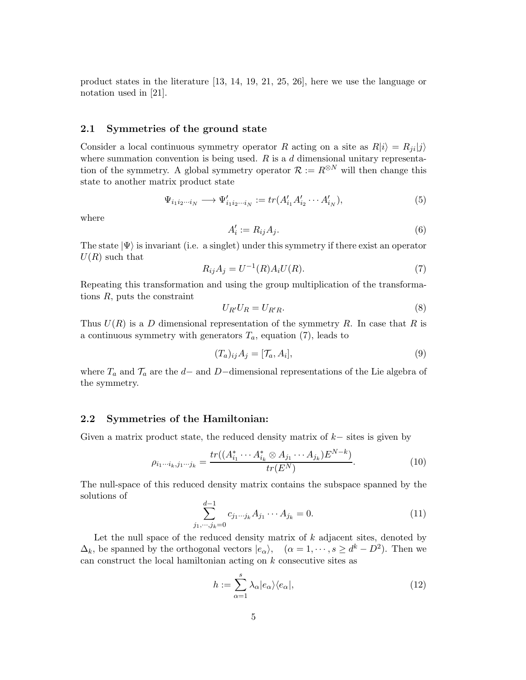product states in the literature [13, 14, 19, 21, 25, 26], here we use the language or notation used in [21].

#### 2.1 Symmetries of the ground state

Consider a local continuous symmetry operator R acting on a site as  $R|i\rangle = R_{ii}|j\rangle$ where summation convention is being used.  $R$  is a  $d$  dimensional unitary representation of the symmetry. A global symmetry operator  $\mathcal{R} := R^{\otimes N}$  will then change this state to another matrix product state

$$
\Psi_{i_1 i_2 \cdots i_N} \longrightarrow \Psi'_{i_1 i_2 \cdots i_N} := tr(A'_{i_1} A'_{i_2} \cdots A'_{i_N}),\tag{5}
$$

where

$$
A_i' := R_{ij} A_j. \tag{6}
$$

The state  $|\Psi\rangle$  is invariant (i.e. a singlet) under this symmetry if there exist an operator  $U(R)$  such that

$$
R_{ij}A_j = U^{-1}(R)A_i U(R).
$$
\n(7)

Repeating this transformation and using the group multiplication of the transformations R, puts the constraint

$$
U_{R'}U_R = U_{R'R}.\tag{8}
$$

Thus  $U(R)$  is a D dimensional representation of the symmetry R. In case that R is a continuous symmetry with generators  $T_a$ , equation (7), leads to

$$
(T_a)_{ij} A_j = [\mathcal{T}_a, A_i], \tag{9}
$$

where  $T_a$  and  $\mathcal{T}_a$  are the d– and D–dimensional representations of the Lie algebra of the symmetry.

### 2.2 Symmetries of the Hamiltonian:

Given a matrix product state, the reduced density matrix of  $k-$  sites is given by

$$
\rho_{i_1\cdots i_k,j_1\cdots j_k} = \frac{tr((A_{i_1}^* \cdots A_{i_k}^* \otimes A_{j_1} \cdots A_{j_k})E^{N-k})}{tr(E^N)}.
$$
\n(10)

The null-space of this reduced density matrix contains the subspace spanned by the solutions of

$$
\sum_{j_1,\dots,j_k=0}^{d-1} c_{j_1\dots j_k} A_{j_1} \dots A_{j_k} = 0.
$$
 (11)

Let the null space of the reduced density matrix of  $k$  adjacent sites, denoted by  $\Delta_k$ , be spanned by the orthogonal vectors  $|e_\alpha\rangle$ ,  $(\alpha = 1, \dots, s \ge d^k - D^2)$ . Then we can construct the local hamiltonian acting on  $k$  consecutive sites as

$$
h := \sum_{\alpha=1}^{s} \lambda_{\alpha} |e_{\alpha}\rangle\langle e_{\alpha}|,
$$
\n(12)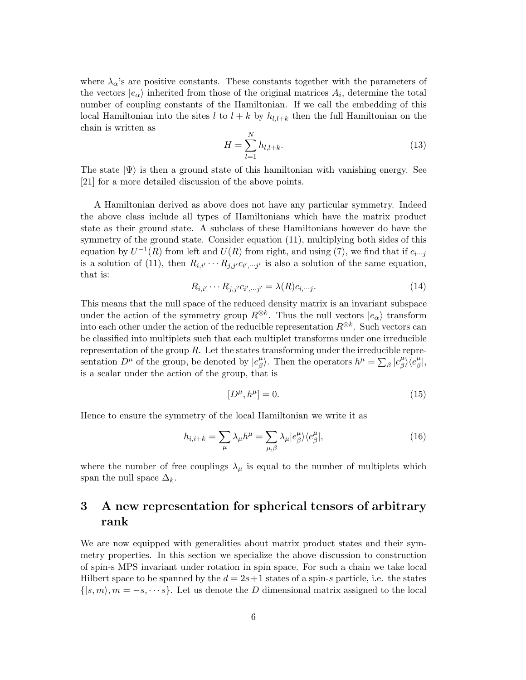where  $\lambda_{\alpha}$ 's are positive constants. These constants together with the parameters of the vectors  $|e_{\alpha}\rangle$  inherited from those of the original matrices  $A_i$ , determine the total number of coupling constants of the Hamiltonian. If we call the embedding of this local Hamiltonian into the sites l to  $l + k$  by  $h_{l,l+k}$  then the full Hamiltonian on the chain is written as

$$
H = \sum_{l=1}^{N} h_{l,l+k}.
$$
\n(13)

The state  $|\Psi\rangle$  is then a ground state of this hamiltonian with vanishing energy. See [21] for a more detailed discussion of the above points.

A Hamiltonian derived as above does not have any particular symmetry. Indeed the above class include all types of Hamiltonians which have the matrix product state as their ground state. A subclass of these Hamiltonians however do have the symmetry of the ground state. Consider equation (11), multiplying both sides of this equation by  $U^{-1}(R)$  from left and  $U(R)$  from right, and using (7), we find that if  $c_{i\cdots j}$ is a solution of (11), then  $R_{i,i'} \cdots R_{j,j'} c_{i',j'}$  is also a solution of the same equation, that is:

$$
R_{i,i'} \cdots R_{j,j'} c_{i',\dots j'} = \lambda(R) c_{i,\dots j}.
$$
\n(14)

This means that the null space of the reduced density matrix is an invariant subspace under the action of the symmetry group  $R^{\otimes k}$ . Thus the null vectors  $|e_{\alpha}\rangle$  transform into each other under the action of the reducible representation  $R^{\otimes k}$ . Such vectors can be classified into multiplets such that each multiplet transforms under one irreducible representation of the group  $R$ . Let the states transforming under the irreducible representation  $D^{\mu}$  of the group, be denoted by  $|e^{\mu}_{\beta}|$  $\binom{\mu}{\beta}$ . Then the operators  $h^{\mu} = \sum_{\beta} |e_{\beta}^{\mu}|$  $\frac{\mu}{\beta}\rangle\langle e^{\mu}_{\beta}$  $^{\mu}_{\beta}|,$ is a scalar under the action of the group, that is

$$
[D^{\mu}, h^{\mu}] = 0. \tag{15}
$$

Hence to ensure the symmetry of the local Hamiltonian we write it as

$$
h_{i,i+k} = \sum_{\mu} \lambda_{\mu} h^{\mu} = \sum_{\mu,\beta} \lambda_{\mu} |e^{\mu}_{\beta}\rangle \langle e^{\mu}_{\beta}|,
$$
\n(16)

where the number of free couplings  $\lambda_{\mu}$  is equal to the number of multiplets which span the null space  $\Delta_k$ .

# 3 A new representation for spherical tensors of arbitrary rank

We are now equipped with generalities about matrix product states and their symmetry properties. In this section we specialize the above discussion to construction of spin-s MPS invariant under rotation in spin space. For such a chain we take local Hilbert space to be spanned by the  $d = 2s+1$  states of a spin-s particle, i.e. the states  $\{|s,m\rangle, m = -s, \dots s\}$ . Let us denote the D dimensional matrix assigned to the local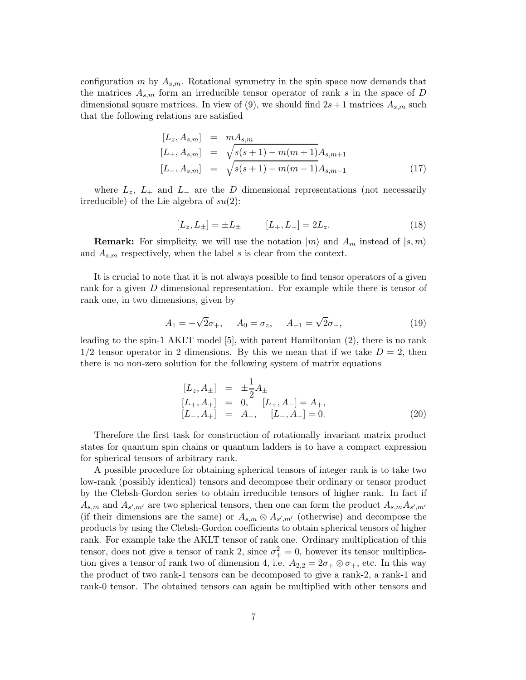configuration m by  $A_{s,m}$ . Rotational symmetry in the spin space now demands that the matrices  $A_{s,m}$  form an irreducible tensor operator of rank s in the space of D dimensional square matrices. In view of (9), we should find  $2s+1$  matrices  $A_{s,m}$  such that the following relations are satisfied

$$
[L_z, A_{s,m}] = mA_{s,m}
$$
  
\n
$$
[L_+, A_{s,m}] = \sqrt{s(s+1) - m(m+1)}A_{s,m+1}
$$
  
\n
$$
[L_-, A_{s,m}] = \sqrt{s(s+1) - m(m-1)}A_{s,m-1}
$$
\n(17)

where  $L_z$ ,  $L_+$  and  $L_-$  are the D dimensional representations (not necessarily irreducible) of the Lie algebra of  $su(2)$ :

$$
[L_z, L_{\pm}] = \pm L_{\pm} \qquad [L_+, L_-] = 2L_z. \tag{18}
$$

**Remark:** For simplicity, we will use the notation  $|m\rangle$  and  $A_m$  instead of  $|s,m\rangle$ and  $A_{s,m}$  respectively, when the label s is clear from the context.

It is crucial to note that it is not always possible to find tensor operators of a given rank for a given D dimensional representation. For example while there is tensor of rank one, in two dimensions, given by

$$
A_1 = -\sqrt{2}\sigma_+, \quad A_0 = \sigma_z, \quad A_{-1} = \sqrt{2}\sigma_-, \tag{19}
$$

leading to the spin-1 AKLT model [5], with parent Hamiltonian (2), there is no rank  $1/2$  tensor operator in 2 dimensions. By this we mean that if we take  $D = 2$ , then there is no non-zero solution for the following system of matrix equations

$$
[L_z, A_{\pm}] = \pm \frac{1}{2} A_{\pm}
$$
  
\n
$$
[L_+, A_+] = 0, [L_+, A_-] = A_+,
$$
  
\n
$$
[L_-, A_+] = A_-, [L_-, A_-] = 0.
$$
\n(20)

Therefore the first task for construction of rotationally invariant matrix product states for quantum spin chains or quantum ladders is to have a compact expression for spherical tensors of arbitrary rank.

A possible procedure for obtaining spherical tensors of integer rank is to take two low-rank (possibly identical) tensors and decompose their ordinary or tensor product by the Clebsh-Gordon series to obtain irreducible tensors of higher rank. In fact if  $A_{s,m}$  and  $A_{s',m'}$  are two spherical tensors, then one can form the product  $A_{s,m}A_{s',m'}$ (if their dimensions are the same) or  $A_{s,m} \otimes A_{s',m'}$  (otherwise) and decompose the products by using the Clebsh-Gordon coefficients to obtain spherical tensors of higher rank. For example take the AKLT tensor of rank one. Ordinary multiplication of this tensor, does not give a tensor of rank 2, since  $\sigma_+^2 = 0$ , however its tensor multiplication gives a tensor of rank two of dimension 4, i.e.  $A_{2,2} = 2\sigma_+ \otimes \sigma_+$ , etc. In this way the product of two rank-1 tensors can be decomposed to give a rank-2, a rank-1 and rank-0 tensor. The obtained tensors can again be multiplied with other tensors and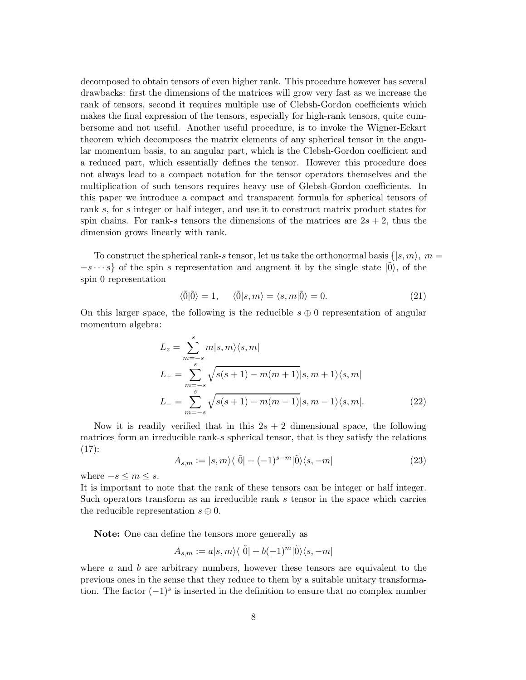decomposed to obtain tensors of even higher rank. This procedure however has several drawbacks: first the dimensions of the matrices will grow very fast as we increase the rank of tensors, second it requires multiple use of Clebsh-Gordon coefficients which makes the final expression of the tensors, especially for high-rank tensors, quite cumbersome and not useful. Another useful procedure, is to invoke the Wigner-Eckart theorem which decomposes the matrix elements of any spherical tensor in the angular momentum basis, to an angular part, which is the Clebsh-Gordon coefficient and a reduced part, which essentially defines the tensor. However this procedure does not always lead to a compact notation for the tensor operators themselves and the multiplication of such tensors requires heavy use of Glebsh-Gordon coefficients. In this paper we introduce a compact and transparent formula for spherical tensors of rank s, for s integer or half integer, and use it to construct matrix product states for spin chains. For rank-s tensors the dimensions of the matrices are  $2s + 2$ , thus the dimension grows linearly with rank.

To construct the spherical rank-s tensor, let us take the orthonormal basis  $\{|s,m\rangle, m =$  $-s \cdots s$  of the spin s representation and augment it by the single state  $|0\rangle$ , of the spin 0 representation

$$
\langle \tilde{0} | \tilde{0} \rangle = 1, \quad \langle \tilde{0} | s, m \rangle = \langle s, m | \tilde{0} \rangle = 0. \tag{21}
$$

On this larger space, the following is the reducible  $s \oplus 0$  representation of angular momentum algebra:

$$
L_z = \sum_{m=-s}^{s} m|s, m\rangle\langle s, m|
$$
  
\n
$$
L_{+} = \sum_{m=-s}^{s} \sqrt{s(s+1) - m(m+1)}|s, m+1\rangle\langle s, m|
$$
  
\n
$$
L_{-} = \sum_{m=-s}^{s} \sqrt{s(s+1) - m(m-1)}|s, m-1\rangle\langle s, m|.
$$
 (22)

Now it is readily verified that in this  $2s + 2$  dimensional space, the following matrices form an irreducible rank-s spherical tensor, that is they satisfy the relations  $(17)$ :

$$
A_{s,m} := |s,m\rangle\langle\ \tilde{0}| + (-1)^{s-m} |\tilde{0}\rangle\langle s,-m| \tag{23}
$$

where  $-s \leq m \leq s$ .

It is important to note that the rank of these tensors can be integer or half integer. Such operators transform as an irreducible rank s tensor in the space which carries the reducible representation  $s \oplus 0$ .

Note: One can define the tensors more generally as

$$
A_{s,m} := a|s,m\rangle\langle \tilde{0}| + b(-1)^m|\tilde{0}\rangle\langle s, -m|
$$

where  $a$  and  $b$  are arbitrary numbers, however these tensors are equivalent to the previous ones in the sense that they reduce to them by a suitable unitary transformation. The factor  $(-1)^s$  is inserted in the definition to ensure that no complex number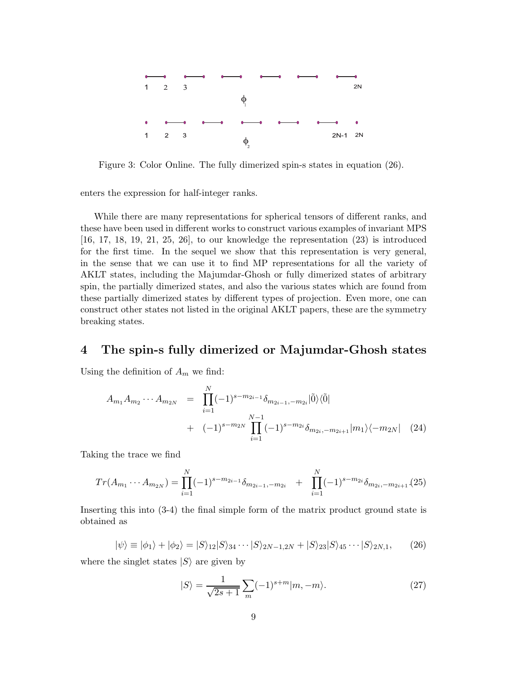

Figure 3: Color Online. The fully dimerized spin-s states in equation (26).

enters the expression for half-integer ranks.

While there are many representations for spherical tensors of different ranks, and these have been used in different works to construct various examples of invariant MPS  $[16, 17, 18, 19, 21, 25, 26]$ , to our knowledge the representation  $(23)$  is introduced for the first time. In the sequel we show that this representation is very general, in the sense that we can use it to find MP representations for all the variety of AKLT states, including the Majumdar-Ghosh or fully dimerized states of arbitrary spin, the partially dimerized states, and also the various states which are found from these partially dimerized states by different types of projection. Even more, one can construct other states not listed in the original AKLT papers, these are the symmetry breaking states.

### 4 The spin-s fully dimerized or Majumdar-Ghosh states

Using the definition of  $A_m$  we find:

$$
A_{m_1} A_{m_2} \cdots A_{m_{2N}} = \prod_{i=1}^{N} (-1)^{s - m_{2i-1}} \delta_{m_{2i-1}, -m_{2i}} |\tilde{0}\rangle \langle \tilde{0}|
$$
  
+ 
$$
(-1)^{s - m_{2N}} \prod_{i=1}^{N-1} (-1)^{s - m_{2i}} \delta_{m_{2i}, -m_{2i+1}} |m_1\rangle \langle -m_{2N}|
$$
 (24)

Taking the trace we find

$$
Tr(A_{m_1}\cdots A_{m_{2N}}) = \prod_{i=1}^{N}(-1)^{s-m_{2i-1}}\delta_{m_{2i-1},-m_{2i}} + \prod_{i=1}^{N}(-1)^{s-m_{2i}}\delta_{m_{2i},-m_{2i+1}}(25)
$$

Inserting this into (3-4) the final simple form of the matrix product ground state is obtained as

$$
|\psi\rangle \equiv |\phi_1\rangle + |\phi_2\rangle = |S\rangle_{12}|S\rangle_{34} \cdots |S\rangle_{2N-1,2N} + |S\rangle_{23}|S\rangle_{45} \cdots |S\rangle_{2N,1},\tag{26}
$$

where the singlet states  $|S\rangle$  are given by

$$
|S\rangle = \frac{1}{\sqrt{2s+1}} \sum_{m} (-1)^{s+m} |m, -m\rangle. \tag{27}
$$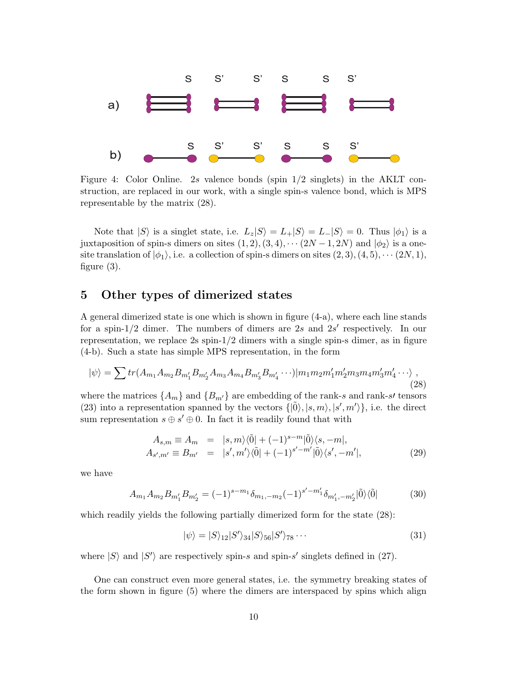

Figure 4: Color Online. 2s valence bonds (spin 1/2 singlets) in the AKLT construction, are replaced in our work, with a single spin-s valence bond, which is MPS representable by the matrix (28).

Note that  $|S\rangle$  is a singlet state, i.e.  $L_z|S\rangle = L_{+}|S\rangle = L_{-}|S\rangle = 0$ . Thus  $|\phi_1\rangle$  is a juxtaposition of spin-s dimers on sites  $(1, 2), (3, 4), \cdots (2N-1, 2N)$  and  $|\phi_2\rangle$  is a onesite translation of  $|\phi_1\rangle$ , i.e. a collection of spin-s dimers on sites  $(2, 3), (4, 5), \cdots (2N, 1),$ figure (3).

### 5 Other types of dimerized states

A general dimerized state is one which is shown in figure (4-a), where each line stands for a spin-1/2 dimer. The numbers of dimers are 2s and  $2s'$  respectively. In our representation, we replace  $2s \sin 1/2$  dimers with a single spin-s dimer, as in figure (4-b). Such a state has simple MPS representation, in the form

$$
|\psi\rangle = \sum tr(A_{m_1} A_{m_2} B_{m'_1} B_{m'_2} A_{m_3} A_{m_4} B_{m'_3} B_{m'_4} \cdots)|m_1 m_2 m'_1 m'_2 m_3 m_4 m'_3 m'_4 \cdots\rangle,
$$
\n(28)

where the matrices  $\{A_m\}$  and  $\{B_{m'}\}$  are embedding of the rank-s and rank-s' tensors (23) into a representation spanned by the vectors  $\{|\tilde{0}\rangle, |s, m\rangle, |s', m'\rangle\}$ , i.e. the direct sum representation  $s \oplus s' \oplus 0$ . In fact it is readily found that with

$$
A_{s,m} \equiv A_m = |s,m\rangle\langle\tilde{0}| + (-1)^{s-m}|\tilde{0}\rangle\langle s,-m|,
$$
  
\n
$$
A_{s',m'} \equiv B_{m'} = |s',m'\rangle\langle\tilde{0}| + (-1)^{s'-m'}|\tilde{0}\rangle\langle s',-m'|,
$$
\n(29)

we have

$$
A_{m_1} A_{m_2} B_{m'_1} B_{m'_2} = (-1)^{s-m_1} \delta_{m_1, -m_2} (-1)^{s'-m'_1} \delta_{m'_1, -m'_2} |\tilde{0}\rangle\langle\tilde{0}| \tag{30}
$$

which readily yields the following partially dimerized form for the state  $(28)$ :

$$
|\psi\rangle = |S\rangle_{12}|S'\rangle_{34}|S\rangle_{56}|S'\rangle_{78}\cdots
$$
\n(31)

where  $|S\rangle$  and  $|S'\rangle$  are respectively spin-s and spin-s' singlets defined in (27).

One can construct even more general states, i.e. the symmetry breaking states of the form shown in figure (5) where the dimers are interspaced by spins which align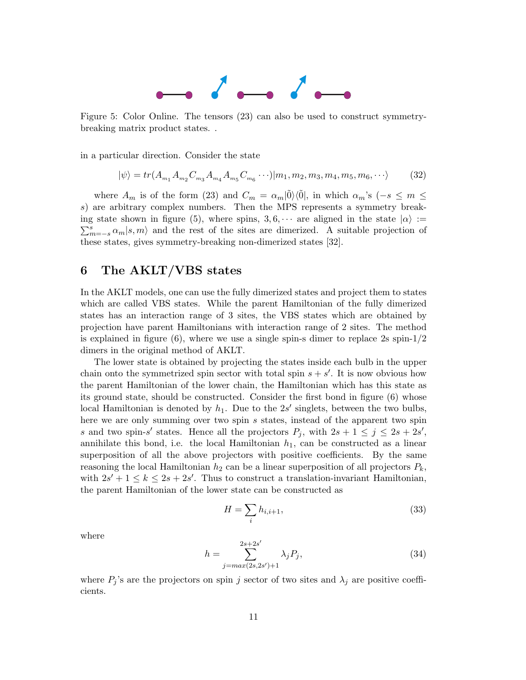

Figure 5: Color Online. The tensors (23) can also be used to construct symmetrybreaking matrix product states. .

in a particular direction. Consider the state

$$
|\psi\rangle = tr(A_{m_1} A_{m_2} C_{m_3} A_{m_4} A_{m_5} C_{m_6} \cdots)|m_1, m_2, m_3, m_4, m_5, m_6, \cdots\rangle
$$
 (32)

where  $A_m$  is of the form (23) and  $C_m = \alpha_m |\tilde{0}\rangle\langle\tilde{0}|$ , in which  $\alpha_m$ 's ( $-s \le m \le$ s) are arbitrary complex numbers. Then the MPS represents a symmetry breaking state shown in figure (5), where spins,  $3, 6, \cdots$  are aligned in the state  $|\alpha\rangle :=$  $\sum_{m=-s}^{s} \alpha_m |s,m\rangle$  and the rest of the sites are dimerized. A suitable projection of these states, gives symmetry-breaking non-dimerized states [32].

## 6 The AKLT/VBS states

In the AKLT models, one can use the fully dimerized states and project them to states which are called VBS states. While the parent Hamiltonian of the fully dimerized states has an interaction range of 3 sites, the VBS states which are obtained by projection have parent Hamiltonians with interaction range of 2 sites. The method is explained in figure (6), where we use a single spin-s dimer to replace  $2s$  spin- $1/2$ dimers in the original method of AKLT.

The lower state is obtained by projecting the states inside each bulb in the upper chain onto the symmetrized spin sector with total spin  $s + s'$ . It is now obvious how the parent Hamiltonian of the lower chain, the Hamiltonian which has this state as its ground state, should be constructed. Consider the first bond in figure (6) whose local Hamiltonian is denoted by  $h_1$ . Due to the  $2s'$  singlets, between the two bulbs, here we are only summing over two spin s states, instead of the apparent two spin s and two spin-s' states. Hence all the projectors  $P_j$ , with  $2s + 1 \leq j \leq 2s + 2s'$ , annihilate this bond, i.e. the local Hamiltonian  $h_1$ , can be constructed as a linear superposition of all the above projectors with positive coefficients. By the same reasoning the local Hamiltonian  $h_2$  can be a linear superposition of all projectors  $P_k$ , with  $2s' + 1 \leq k \leq 2s + 2s'$ . Thus to construct a translation-invariant Hamiltonian, the parent Hamiltonian of the lower state can be constructed as

$$
H = \sum_{i} h_{i,i+1},\tag{33}
$$

where

$$
h = \sum_{j=\max(2s,2s')+1}^{2s+2s'} \lambda_j P_j,
$$
\n(34)

where  $P_j$ 's are the projectors on spin j sector of two sites and  $\lambda_j$  are positive coefficients.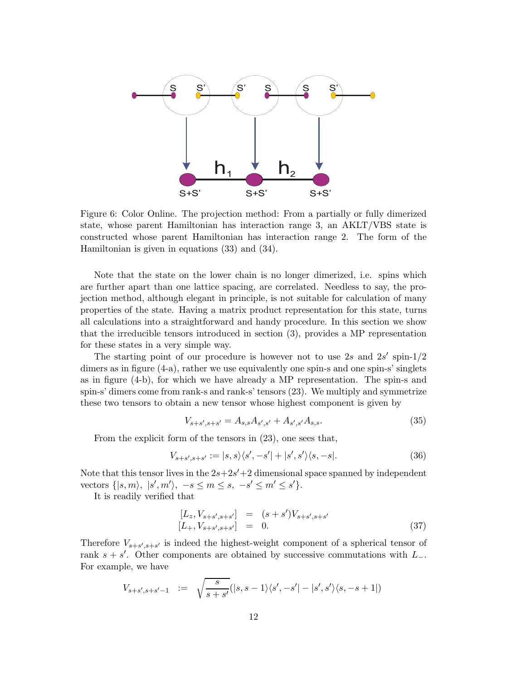

Figure 6: Color Online. The projection method: From a partially or fully dimerized state, whose parent Hamiltonian has interaction range 3, an AKLT/VBS state is constructed whose parent Hamiltonian has interaction range 2. The form of the Hamiltonian is given in equations (33) and (34).

Note that the state on the lower chain is no longer dimerized, i.e. spins which are further apart than one lattice spacing, are correlated. Needless to say, the projection method, although elegant in principle, is not suitable for calculation of many properties of the state. Having a matrix product representation for this state, turns all calculations into a straightforward and handy procedure. In this section we show that the irreducible tensors introduced in section (3), provides a MP representation for these states in a very simple way.

The starting point of our procedure is however not to use 2s and  $2s'$  spin- $1/2$ dimers as in figure  $(4-a)$ , rather we use equivalently one spin-s and one spin-s' singlets as in figure (4-b), for which we have already a MP representation. The spin-s and spin-s' dimers come from rank-s and rank-s' tensors (23). We multiply and symmetrize these two tensors to obtain a new tensor whose highest component is given by

$$
V_{s+s',s+s'} = A_{s,s}A_{s',s'} + A_{s',s'}A_{s,s}.
$$
\n(35)

From the explicit form of the tensors in (23), one sees that,

$$
V_{s+s',s+s'} := |s,s\rangle\langle s', -s'| + |s', s'\rangle\langle s, -s|.
$$
 (36)

Note that this tensor lives in the  $2s+2s'+2$  dimensional space spanned by independent vectors  $\{|s,m\rangle, |s',m'\rangle, -s \le m \le s, -s' \le m' \le s'\}.$ 

It is readily verified that

$$
\begin{array}{rcl}\n[L_z, V_{s+s',s+s'}] & = & (s+s')V_{s+s',s+s'} \\
[L_+, V_{s+s',s+s'}] & = & 0.\n\end{array} \tag{37}
$$

Therefore  $V_{s+s',s+s'}$  is indeed the highest-weight component of a spherical tensor of rank  $s + s'$ . Other components are obtained by successive commutations with  $L_{-}$ . For example, we have

$$
V_{s+s',s+s'-1} := \sqrt{\frac{s}{s+s'}}(|s,s-1\rangle\langle s',-s'|-|s',s'\rangle\langle s,-s+1|)
$$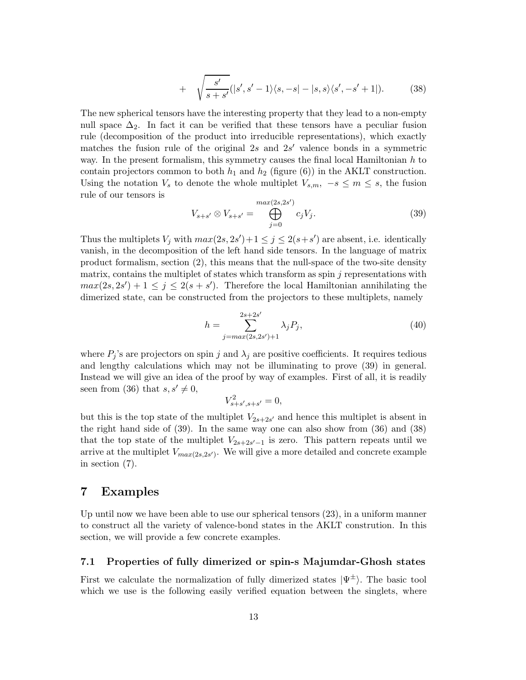+ 
$$
\sqrt{\frac{s'}{s+s'}}(|s',s'-1\rangle\langle s,-s|-|s,s\rangle\langle s',-s'+1|).
$$
 (38)

The new spherical tensors have the interesting property that they lead to a non-empty null space  $\Delta_2$ . In fact it can be verified that these tensors have a peculiar fusion rule (decomposition of the product into irreducible representations), which exactly matches the fusion rule of the original 2s and  $2s'$  valence bonds in a symmetric way. In the present formalism, this symmetry causes the final local Hamiltonian  $h$  to contain projectors common to both  $h_1$  and  $h_2$  (figure (6)) in the AKLT construction. Using the notation  $V_s$  to denote the whole multiplet  $V_{s,m}$ ,  $-s \leq m \leq s$ , the fusion rule of our tensors is ′

$$
V_{s+s'} \otimes V_{s+s'} = \bigoplus_{j=0}^{\max(2s,2s')} c_j V_j.
$$
 (39)

Thus the multiplets  $V_j$  with  $max(2s, 2s') + 1 \le j \le 2(s + s')$  are absent, i.e. identically vanish, in the decomposition of the left hand side tensors. In the language of matrix product formalism, section (2), this means that the null-space of the two-site density matrix, contains the multiplet of states which transform as spin  $j$  representations with  $max(2s, 2s') + 1 \leq j \leq 2(s + s')$ . Therefore the local Hamiltonian annihilating the dimerized state, can be constructed from the projectors to these multiplets, namely

$$
h = \sum_{j=\max(2s,2s')+1}^{2s+2s'} \lambda_j P_j,
$$
\n(40)

where  $P_j$ 's are projectors on spin j and  $\lambda_j$  are positive coefficients. It requires tedious and lengthy calculations which may not be illuminating to prove (39) in general. Instead we will give an idea of the proof by way of examples. First of all, it is readily seen from (36) that  $s, s' \neq 0$ ,

$$
V_{s+s',s+s'}^2 = 0,
$$

but this is the top state of the multiplet  $V_{2s+2s'}$  and hence this multiplet is absent in the right hand side of (39). In the same way one can also show from (36) and (38) that the top state of the multiplet  $V_{2s+2s'-1}$  is zero. This pattern repeats until we arrive at the multiplet  $V_{max(2s,2s')}$ . We will give a more detailed and concrete example in section (7).

### 7 Examples

Up until now we have been able to use our spherical tensors (23), in a uniform manner to construct all the variety of valence-bond states in the AKLT constrution. In this section, we will provide a few concrete examples.

### 7.1 Properties of fully dimerized or spin-s Majumdar-Ghosh states

First we calculate the normalization of fully dimerized states  $|\Psi^{\pm}\rangle$ . The basic tool which we use is the following easily verified equation between the singlets, where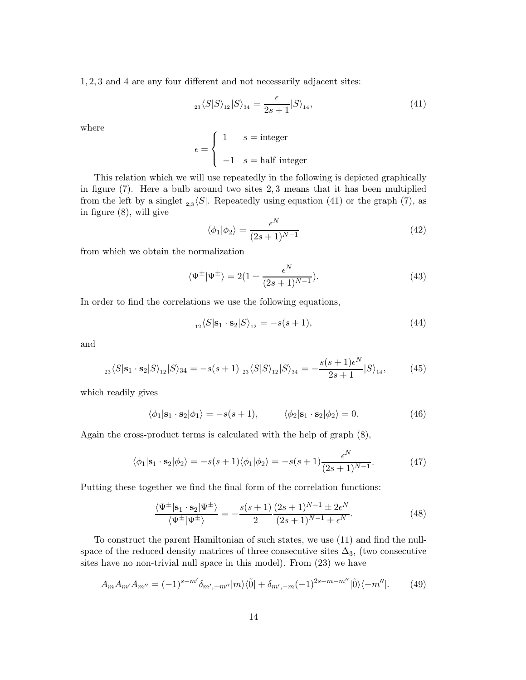1, 2, 3 and 4 are any four different and not necessarily adjacent sites:

$$
_{23}\langle S|S\rangle_{12}|S\rangle_{34} = \frac{\epsilon}{2s+1}|S\rangle_{14},\tag{41}
$$

where

$$
\epsilon = \begin{cases} 1 & s = \text{integer} \\ -1 & s = \text{half integer} \end{cases}
$$

This relation which we will use repeatedly in the following is depicted graphically in figure (7). Here a bulb around two sites 2, 3 means that it has been multiplied from the left by a singlet  $_{2,3}\langle S|$ . Repeatedly using equation (41) or the graph (7), as in figure (8), will give

$$
\langle \phi_1 | \phi_2 \rangle = \frac{\epsilon^N}{(2s+1)^{N-1}} \tag{42}
$$

from which we obtain the normalization

$$
\langle \Psi^{\pm} | \Psi^{\pm} \rangle = 2(1 \pm \frac{\epsilon^N}{(2s+1)^{N-1}}). \tag{43}
$$

In order to find the correlations we use the following equations,

$$
{}_{12}\langle S|\mathbf{s}_1 \cdot \mathbf{s}_2|S\rangle_{12} = -s(s+1),\tag{44}
$$

and

$$
{}_{23}\langle S|\mathbf{s}_1 \cdot \mathbf{s}_2|S\rangle_{12}|S\rangle_{34} = -s(s+1) \; {}_{23}\langle S|S\rangle_{12}|S\rangle_{34} = -\frac{s(s+1)\epsilon^N}{2s+1}|S\rangle_{14},\tag{45}
$$

which readily gives

$$
\langle \phi_1 | \mathbf{s}_1 \cdot \mathbf{s}_2 | \phi_1 \rangle = -s(s+1), \qquad \langle \phi_2 | \mathbf{s}_1 \cdot \mathbf{s}_2 | \phi_2 \rangle = 0. \tag{46}
$$

Again the cross-product terms is calculated with the help of graph (8),

$$
\langle \phi_1 | \mathbf{s}_1 \cdot \mathbf{s}_2 | \phi_2 \rangle = -s(s+1) \langle \phi_1 | \phi_2 \rangle = -s(s+1) \frac{\epsilon^N}{(2s+1)^{N-1}}.
$$
 (47)

Putting these together we find the final form of the correlation functions:

$$
\frac{\langle \Psi^{\pm} | \mathbf{s}_1 \cdot \mathbf{s}_2 | \Psi^{\pm} \rangle}{\langle \Psi^{\pm} | \Psi^{\pm} \rangle} = -\frac{s(s+1)}{2} \frac{(2s+1)^{N-1} \pm 2\epsilon^N}{(2s+1)^{N-1} \pm \epsilon^N}.
$$
(48)

To construct the parent Hamiltonian of such states, we use (11) and find the nullspace of the reduced density matrices of three consecutive sites  $\Delta_3$ , (two consecutive sites have no non-trivial null space in this model). From (23) we have

$$
A_m A_{m'} A_{m''} = (-1)^{s-m'} \delta_{m',-m''} |m\rangle\langle \tilde{0}| + \delta_{m',-m} (-1)^{2s-m-m''} |\tilde{0}\rangle\langle -m''|.
$$
 (49)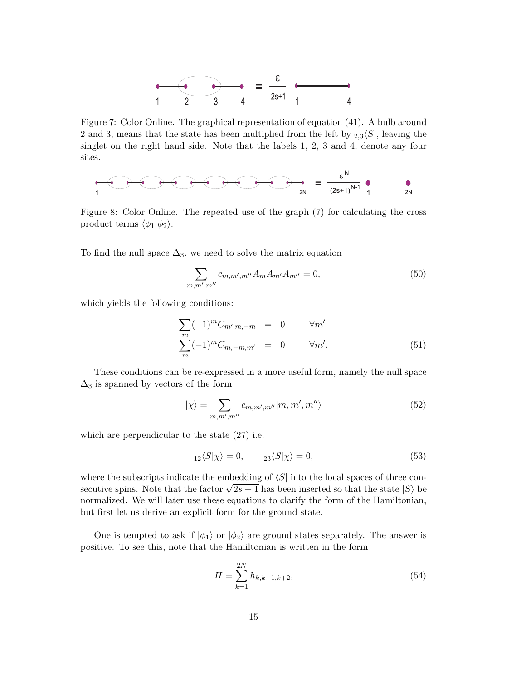

Figure 7: Color Online. The graphical representation of equation (41). A bulb around 2 and 3, means that the state has been multiplied from the left by  $2.3\sqrt{S}$ , leaving the singlet on the right hand side. Note that the labels 1, 2, 3 and 4, denote any four sites.



Figure 8: Color Online. The repeated use of the graph (7) for calculating the cross product terms  $\langle \phi_1 | \phi_2 \rangle$ .

To find the null space  $\Delta_3$ , we need to solve the matrix equation

$$
\sum_{m,m',m''} c_{m,m',m''} A_m A_{m'} A_{m''} = 0,
$$
\n(50)

which yields the following conditions:

$$
\sum_{m} (-1)^{m} C_{m',m,-m} = 0 \qquad \forall m'
$$
  

$$
\sum_{m} (-1)^{m} C_{m,-m,m'} = 0 \qquad \forall m'.
$$
 (51)

These conditions can be re-expressed in a more useful form, namely the null space  $\Delta_3$  is spanned by vectors of the form

$$
|\chi\rangle = \sum_{m,m',m''} c_{m,m',m''} |m,m',m''\rangle \tag{52}
$$

which are perpendicular to the state (27) i.e.

$$
{}_{12}\langle S|\chi\rangle = 0, \qquad {}_{23}\langle S|\chi\rangle = 0,\tag{53}
$$

where the subscripts indicate the embedding of  $\langle S|$  into the local spaces of three consecutive spins. Note that the factor  $\sqrt{2s+1}$  has been inserted so that the state  $|S\rangle$  be normalized. We will later use these equations to clarify the form of the Hamiltonian, but first let us derive an explicit form for the ground state.

One is tempted to ask if  $|\phi_1\rangle$  or  $|\phi_2\rangle$  are ground states separately. The answer is positive. To see this, note that the Hamiltonian is written in the form

$$
H = \sum_{k=1}^{2N} h_{k,k+1,k+2},
$$
\n(54)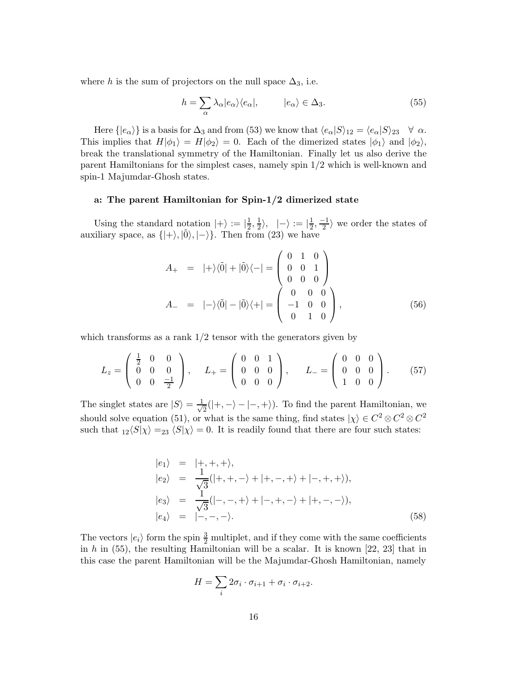where h is the sum of projectors on the null space  $\Delta_3$ , i.e.

$$
h = \sum_{\alpha} \lambda_{\alpha} |e_{\alpha}\rangle\langle e_{\alpha}|, \qquad |e_{\alpha}\rangle \in \Delta_3. \tag{55}
$$

Here  $\{|e_{\alpha}\rangle\}$  is a basis for  $\Delta_3$  and from (53) we know that  $\langle e_{\alpha}|S\rangle_{12} = \langle e_{\alpha}|S\rangle_{23} \quad \forall \alpha$ . This implies that  $H|\phi_1\rangle = H|\phi_2\rangle = 0$ . Each of the dimerized states  $|\phi_1\rangle$  and  $|\phi_2\rangle$ , break the translational symmetry of the Hamiltonian. Finally let us also derive the parent Hamiltonians for the simplest cases, namely spin 1/2 which is well-known and spin-1 Majumdar-Ghosh states.

### a: The parent Hamiltonian for Spin-1/2 dimerized state

Using the standard notation  $|+\rangle := |\frac{1}{2}\rangle$  $\frac{1}{2}, \frac{1}{2}$  $|\frac{1}{2}\rangle,\,\,\,\,\ket{-}:=|\frac{1}{2}\rangle$  $\frac{1}{2}, \frac{-1}{2}$  we order the states of auxiliary space, as  $\{|+\rangle$ ,  $|\tilde{0}\rangle$ ,  $|-\rangle$ . Then from (23) we have

$$
A_{+} = |+\rangle\langle\tilde{0}| + |\tilde{0}\rangle\langle-| = \begin{pmatrix} 0 & 1 & 0 \\ 0 & 0 & 1 \\ 0 & 0 & 0 \end{pmatrix}
$$
  

$$
A_{-} = |-\rangle\langle\tilde{0}| - |\tilde{0}\rangle\langle+| = \begin{pmatrix} 0 & 0 & 0 \\ -1 & 0 & 0 \\ 0 & 1 & 0 \end{pmatrix},
$$
 (56)

which transforms as a rank  $1/2$  tensor with the generators given by

$$
L_z = \begin{pmatrix} \frac{1}{2} & 0 & 0 \\ 0 & 0 & 0 \\ 0 & 0 & \frac{-1}{2} \end{pmatrix}, \quad L_+ = \begin{pmatrix} 0 & 0 & 1 \\ 0 & 0 & 0 \\ 0 & 0 & 0 \end{pmatrix}, \quad L_- = \begin{pmatrix} 0 & 0 & 0 \\ 0 & 0 & 0 \\ 1 & 0 & 0 \end{pmatrix}.
$$
 (57)

The singlet states are  $|S\rangle = \frac{1}{\sqrt{2}}$  $\frac{1}{2}(|+, -\rangle - |-, +\rangle)$ . To find the parent Hamiltonian, we should solve equation (51), or what is the same thing, find states  $|\chi\rangle \in C^2 \otimes C^2 \otimes C^2$ such that  $_{12}\langle S|\chi\rangle =_{23}\langle S|\chi\rangle = 0$ . It is readily found that there are four such states:

$$
|e_1\rangle = |+,+,+\rangle,
$$
  
\n
$$
|e_2\rangle = \frac{1}{\sqrt{3}}(|+,+,-\rangle+|+,-,+\rangle+|-,+,+\rangle),
$$
  
\n
$$
|e_3\rangle = \frac{1}{\sqrt{3}}(|-,-,+\rangle+|-,+,-\rangle+|+,-,-\rangle),
$$
  
\n
$$
|e_4\rangle = |-,-,-\rangle.
$$
\n(58)

The vectors  $|e_i\rangle$  form the spin  $\frac{3}{2}$  multiplet, and if they come with the same coefficients in h in  $(55)$ , the resulting Hamiltonian will be a scalar. It is known  $[22, 23]$  that in this case the parent Hamiltonian will be the Majumdar-Ghosh Hamiltonian, namely

$$
H = \sum_{i} 2\sigma_i \cdot \sigma_{i+1} + \sigma_i \cdot \sigma_{i+2}.
$$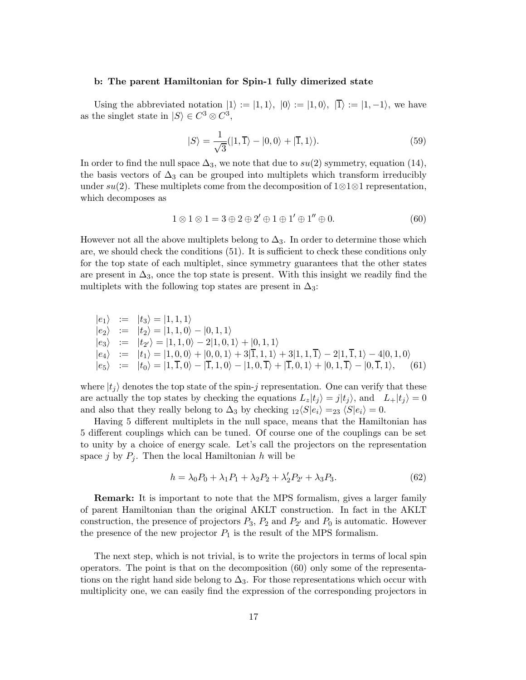#### b: The parent Hamiltonian for Spin-1 fully dimerized state

Using the abbreviated notation  $|1\rangle := |1,1\rangle, |0\rangle := |1,0\rangle, |\overline{1}\rangle := |1,-1\rangle,$  we have as the singlet state in  $|S\rangle \in C^3 \otimes C^3$ ,

$$
|S\rangle = \frac{1}{\sqrt{3}}(|1,\overline{1}\rangle - |0,0\rangle + |\overline{1},1\rangle). \tag{59}
$$

In order to find the null space  $\Delta_3$ , we note that due to  $su(2)$  symmetry, equation (14), the basis vectors of  $\Delta_3$  can be grouped into multiplets which transform irreducibly under  $su(2)$ . These multiplets come from the decomposition of 1⊗1⊗1 representation, which decomposes as

$$
1 \otimes 1 \otimes 1 = 3 \oplus 2 \oplus 2' \oplus 1 \oplus 1' \oplus 1'' \oplus 0.
$$
 (60)

However not all the above multiplets belong to  $\Delta_3$ . In order to determine those which are, we should check the conditions (51). It is sufficient to check these conditions only for the top state of each multiplet, since symmetry guarantees that the other states are present in  $\Delta_3$ , once the top state is present. With this insight we readily find the multiplets with the following top states are present in  $\Delta_3$ :

$$
\begin{array}{rcl}\n|e_1\rangle & := & |t_3\rangle = |1,1,1\rangle \\
|e_2\rangle & := & |t_2\rangle = |1,1,0\rangle - |0,1,1\rangle \\
|e_3\rangle & := & |t_2\rangle = |1,1,0\rangle - 2|1,0,1\rangle + |0,1,1\rangle \\
|e_4\rangle & := & |t_1\rangle = |1,0,0\rangle + |0,0,1\rangle + 3|\overline{1},1,1\rangle + 3|1,1,\overline{1}\rangle - 2|1,\overline{1},1\rangle - 4|0,1,0\rangle \\
|e_5\rangle & := & |t_0\rangle = |1,\overline{1},0\rangle - |\overline{1},1,0\rangle - |1,0,\overline{1}\rangle + |\overline{1},0,1\rangle + |0,1,\overline{1}\rangle - |0,\overline{1},1\rangle,\n\end{array} \tag{61}
$$

where  $|t_i\rangle$  denotes the top state of the spin-j representation. One can verify that these are actually the top states by checking the equations  $L_z|t_j\rangle = j|t_j\rangle$ , and  $L_+|t_j\rangle = 0$ and also that they really belong to  $\Delta_3$  by checking  $_{12}\langle S|e_i\rangle =_{23} \langle S|e_i\rangle = 0.$ 

Having 5 different multiplets in the null space, means that the Hamiltonian has 5 different couplings which can be tuned. Of course one of the couplings can be set to unity by a choice of energy scale. Let's call the projectors on the representation space j by  $P_i$ . Then the local Hamiltonian h will be

$$
h = \lambda_0 P_0 + \lambda_1 P_1 + \lambda_2 P_2 + \lambda_2' P_{2'} + \lambda_3 P_3. \tag{62}
$$

Remark: It is important to note that the MPS formalism, gives a larger family of parent Hamiltonian than the original AKLT construction. In fact in the AKLT construction, the presence of projectors  $P_3$ ,  $P_2$  and  $P_{2'}$  and  $P_0$  is automatic. However the presence of the new projector  $P_1$  is the result of the MPS formalism.

The next step, which is not trivial, is to write the projectors in terms of local spin operators. The point is that on the decomposition (60) only some of the representations on the right hand side belong to  $\Delta_3$ . For those representations which occur with multiplicity one, we can easily find the expression of the corresponding projectors in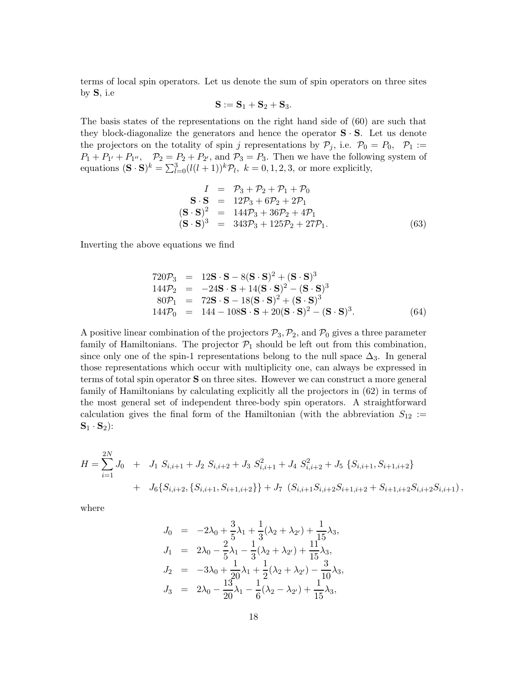terms of local spin operators. Let us denote the sum of spin operators on three sites by S, i.e

$$
\mathbf{S} := \mathbf{S}_1 + \mathbf{S}_2 + \mathbf{S}_3.
$$

The basis states of the representations on the right hand side of (60) are such that they block-diagonalize the generators and hence the operator  $S \cdot S$ . Let us denote the projectors on the totality of spin j representations by  $P_j$ , i.e.  $P_0 = P_0$ ,  $P_1 :=$  $P_1 + P_{1'} + P_{1''}, \quad P_2 = P_2 + P_{2'}$ , and  $P_3 = P_3$ . Then we have the following system of equations  $(\mathbf{S} \cdot \mathbf{S})^k = \sum_{l=0}^3 (l(l+1))^k \mathcal{P}_l$ ,  $k = 0, 1, 2, 3$ , or more explicitly,

$$
I = \mathcal{P}_3 + \mathcal{P}_2 + \mathcal{P}_1 + \mathcal{P}_0
$$
  
\n
$$
\mathbf{S} \cdot \mathbf{S} = 12\mathcal{P}_3 + 6\mathcal{P}_2 + 2\mathcal{P}_1
$$
  
\n
$$
(\mathbf{S} \cdot \mathbf{S})^2 = 144\mathcal{P}_3 + 36\mathcal{P}_2 + 4\mathcal{P}_1
$$
  
\n
$$
(\mathbf{S} \cdot \mathbf{S})^3 = 343\mathcal{P}_3 + 125\mathcal{P}_2 + 27\mathcal{P}_1.
$$
\n(63)

Inverting the above equations we find

$$
720\mathcal{P}_3 = 12\mathbf{S} \cdot \mathbf{S} - 8(\mathbf{S} \cdot \mathbf{S})^2 + (\mathbf{S} \cdot \mathbf{S})^3
$$
  
\n
$$
144\mathcal{P}_2 = -24\mathbf{S} \cdot \mathbf{S} + 14(\mathbf{S} \cdot \mathbf{S})^2 - (\mathbf{S} \cdot \mathbf{S})^3
$$
  
\n
$$
80\mathcal{P}_1 = 72\mathbf{S} \cdot \mathbf{S} - 18(\mathbf{S} \cdot \mathbf{S})^2 + (\mathbf{S} \cdot \mathbf{S})^3
$$
  
\n
$$
144\mathcal{P}_0 = 144 - 108\mathbf{S} \cdot \mathbf{S} + 20(\mathbf{S} \cdot \mathbf{S})^2 - (\mathbf{S} \cdot \mathbf{S})^3.
$$
 (64)

A positive linear combination of the projectors  $P_3, P_2$ , and  $P_0$  gives a three parameter family of Hamiltonians. The projector  $P_1$  should be left out from this combination, since only one of the spin-1 representations belong to the null space  $\Delta_3$ . In general those representations which occur with multiplicity one, can always be expressed in terms of total spin operator S on three sites. However we can construct a more general family of Hamiltonians by calculating explicitly all the projectors in (62) in terms of the most general set of independent three-body spin operators. A straightforward calculation gives the final form of the Hamiltonian (with the abbreviation  $S_{12}$  :=  ${\bf S}_1 \cdot {\bf S}_2$ :

$$
H = \sum_{i=1}^{2N} J_0 + J_1 S_{i,i+1} + J_2 S_{i,i+2} + J_3 S_{i,i+1}^2 + J_4 S_{i,i+2}^2 + J_5 \{S_{i,i+1}, S_{i+1,i+2}\}\
$$
  
+  $J_6 \{S_{i,i+2}, \{S_{i,i+1}, S_{i+1,i+2}\}\} + J_7 (S_{i,i+1} S_{i,i+2} S_{i+1,i+2} + S_{i+1,i+2} S_{i,i+2} S_{i,i+1}),$ 

where

$$
J_0 = -2\lambda_0 + \frac{3}{5}\lambda_1 + \frac{1}{3}(\lambda_2 + \lambda_{2'}) + \frac{1}{15}\lambda_3,
$$
  
\n
$$
J_1 = 2\lambda_0 - \frac{2}{5}\lambda_1 - \frac{1}{3}(\lambda_2 + \lambda_{2'}) + \frac{11}{15}\lambda_3,
$$
  
\n
$$
J_2 = -3\lambda_0 + \frac{1}{20}\lambda_1 + \frac{1}{2}(\lambda_2 + \lambda_{2'}) - \frac{3}{10}\lambda_3,
$$
  
\n
$$
J_3 = 2\lambda_0 - \frac{13}{20}\lambda_1 - \frac{1}{6}(\lambda_2 - \lambda_{2'}) + \frac{1}{15}\lambda_3,
$$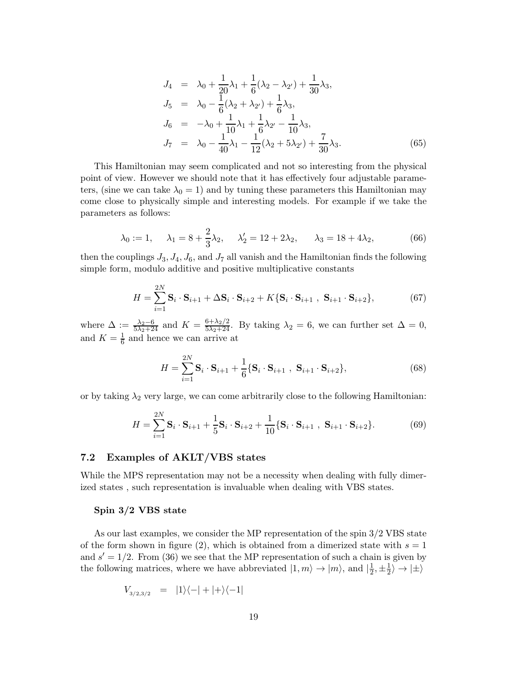$$
J_4 = \lambda_0 + \frac{1}{20}\lambda_1 + \frac{1}{6}(\lambda_2 - \lambda_{2'}) + \frac{1}{30}\lambda_3,
$$
  
\n
$$
J_5 = \lambda_0 - \frac{1}{6}(\lambda_2 + \lambda_{2'}) + \frac{1}{6}\lambda_3,
$$
  
\n
$$
J_6 = -\lambda_0 + \frac{1}{10}\lambda_1 + \frac{1}{6}\lambda_{2'} - \frac{1}{10}\lambda_3,
$$
  
\n
$$
J_7 = \lambda_0 - \frac{1}{40}\lambda_1 - \frac{1}{12}(\lambda_2 + 5\lambda_{2'}) + \frac{7}{30}\lambda_3.
$$
\n(65)

This Hamiltonian may seem complicated and not so interesting from the physical point of view. However we should note that it has effectively four adjustable parameters, (sine we can take  $\lambda_0 = 1$ ) and by tuning these parameters this Hamiltonian may come close to physically simple and interesting models. For example if we take the parameters as follows:

$$
\lambda_0 := 1, \quad \lambda_1 = 8 + \frac{2}{3}\lambda_2, \quad \lambda_2' = 12 + 2\lambda_2, \quad \lambda_3 = 18 + 4\lambda_2,
$$
\n(66)

then the couplings  $J_3, J_4, J_6$ , and  $J_7$  all vanish and the Hamiltonian finds the following simple form, modulo additive and positive multiplicative constants

$$
H = \sum_{i=1}^{2N} \mathbf{S}_i \cdot \mathbf{S}_{i+1} + \Delta \mathbf{S}_i \cdot \mathbf{S}_{i+2} + K \{ \mathbf{S}_i \cdot \mathbf{S}_{i+1} \cdot \mathbf{S}_{i+1} \cdot \mathbf{S}_{i+2} \},
$$
(67)

where  $\Delta := \frac{\lambda_2 - 6}{5\lambda_2 + 24}$  and  $K = \frac{6 + \lambda_2/2}{5\lambda_2 + 24}$ . By taking  $\lambda_2 = 6$ , we can further set  $\Delta = 0$ , and  $K = \frac{1}{6}$  and hence we can arrive at

$$
H = \sum_{i=1}^{2N} \mathbf{S}_i \cdot \mathbf{S}_{i+1} + \frac{1}{6} \{ \mathbf{S}_i \cdot \mathbf{S}_{i+1} , \ \mathbf{S}_{i+1} \cdot \mathbf{S}_{i+2} \},\tag{68}
$$

or by taking  $\lambda_2$  very large, we can come arbitrarily close to the following Hamiltonian:

$$
H = \sum_{i=1}^{2N} \mathbf{S}_i \cdot \mathbf{S}_{i+1} + \frac{1}{5} \mathbf{S}_i \cdot \mathbf{S}_{i+2} + \frac{1}{10} \{ \mathbf{S}_i \cdot \mathbf{S}_{i+1} , \ \mathbf{S}_{i+1} \cdot \mathbf{S}_{i+2} \}.
$$
 (69)

#### 7.2 Examples of AKLT/VBS states

While the MPS representation may not be a necessity when dealing with fully dimerized states , such representation is invaluable when dealing with VBS states.

#### Spin 3/2 VBS state

As our last examples, we consider the MP representation of the spin 3/2 VBS state of the form shown in figure (2), which is obtained from a dimerized state with  $s = 1$ and  $s' = 1/2$ . From (36) we see that the MP representation of such a chain is given by the following matrices, where we have abbreviated  $|1, m\rangle \rightarrow |m\rangle$ , and  $|\frac{1}{2}$  $\frac{1}{2}, \pm \frac{1}{2}$  $\frac{1}{2}$   $\rightarrow$   $\ket{\pm}$ 

$$
V_{\scriptscriptstyle{3/2,3/2}}\quad =\quad |1\rangle\langle -|+|+\rangle\langle -1|
$$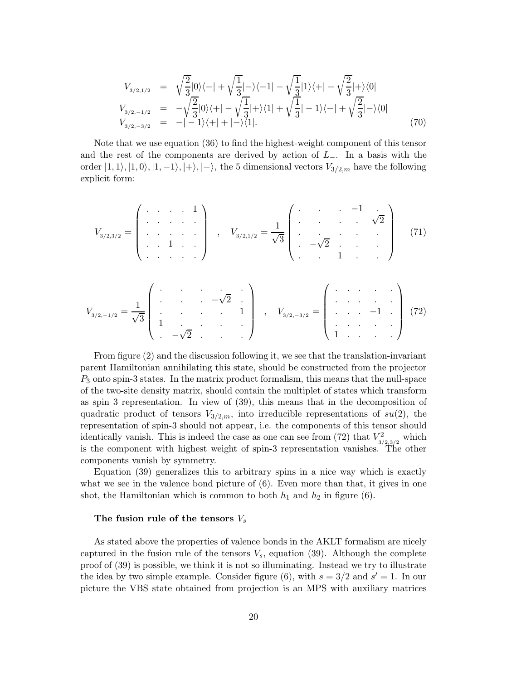$$
V_{3/2,1/2} = \sqrt{\frac{2}{3}}|0\rangle\langle -| + \sqrt{\frac{1}{3}}| - \rangle\langle -1| - \sqrt{\frac{1}{3}}|1\rangle\langle +| - \sqrt{\frac{2}{3}}| + \rangle\langle 0|
$$
  
\n
$$
V_{3/2,-1/2} = -\sqrt{\frac{2}{3}}|0\rangle\langle +| - \sqrt{\frac{1}{3}}| + \rangle\langle 1| + \sqrt{\frac{1}{3}}| - 1\rangle\langle -| + \sqrt{\frac{2}{3}}| - \rangle\langle 0|
$$
  
\n
$$
V_{3/2,-3/2} = -|-1\rangle\langle +| +| - \rangle\langle 1|.
$$
\n(70)

Note that we use equation (36) to find the highest-weight component of this tensor and the rest of the components are derived by action of  $L_-\$ . In a basis with the order  $|1, 1\rangle, |1, 0\rangle, |1, -1\rangle, |+\rangle, |-\rangle$ , the 5 dimensional vectors  $V_{3/2,m}$  have the following explicit form:

$$
V_{3/2,3/2} = \begin{pmatrix} \cdot & \cdot & \cdot & 1 \\ \cdot & \cdot & \cdot & \cdot \\ \cdot & \cdot & \cdot & \cdot \\ \cdot & \cdot & 1 & \cdot \\ \cdot & \cdot & \cdot & \cdot \end{pmatrix} , \quad V_{3/2,1/2} = \frac{1}{\sqrt{3}} \begin{pmatrix} \cdot & \cdot & -1 & \cdot \\ \cdot & \cdot & \cdot & \sqrt{2} \\ \cdot & \cdot & \cdot & \cdot \\ \cdot & \cdot & \cdot & \cdot \end{pmatrix} (71)
$$

$$
V_{3/2,-1/2} = \frac{1}{\sqrt{3}} \begin{pmatrix} \cdot & \cdot & \cdot & \cdot & \cdot \\ \cdot & \cdot & \cdot & \cdot & \cdot \\ \cdot & \cdot & \cdot & \cdot & \cdot \\ 1 & \cdot & \cdot & \cdot & \cdot \\ \cdot & -\sqrt{2} & \cdot & \cdot & \cdot \end{pmatrix}, \quad V_{3/2,-3/2} = \begin{pmatrix} \cdot & \cdot & \cdot & \cdot & \cdot \\ \cdot & \cdot & \cdot & \cdot & \cdot \\ \cdot & \cdot & \cdot & \cdot & \cdot \\ \cdot & \cdot & \cdot & \cdot & \cdot \end{pmatrix} (72)
$$

From figure (2) and the discussion following it, we see that the translation-invariant parent Hamiltonian annihilating this state, should be constructed from the projector  $P_3$  onto spin-3 states. In the matrix product formalism, this means that the null-space of the two-site density matrix, should contain the multiplet of states which transform as spin 3 representation. In view of (39), this means that in the decomposition of quadratic product of tensors  $V_{3/2,m}$ , into irreducible representations of  $su(2)$ , the representation of spin-3 should not appear, i.e. the components of this tensor should identically vanish. This is indeed the case as one can see from (72) that  $V_{3/2,3/2}^2$  which is the component with highest weight of spin-3 representation vanishes. The other components vanish by symmetry.

Equation (39) generalizes this to arbitrary spins in a nice way which is exactly what we see in the valence bond picture of  $(6)$ . Even more than that, it gives in one shot, the Hamiltonian which is common to both  $h_1$  and  $h_2$  in figure (6).

### The fusion rule of the tensors  $V_s$

As stated above the properties of valence bonds in the AKLT formalism are nicely captured in the fusion rule of the tensors  $V_s$ , equation (39). Although the complete proof of (39) is possible, we think it is not so illuminating. Instead we try to illustrate the idea by two simple example. Consider figure (6), with  $s = 3/2$  and  $s' = 1$ . In our picture the VBS state obtained from projection is an MPS with auxiliary matrices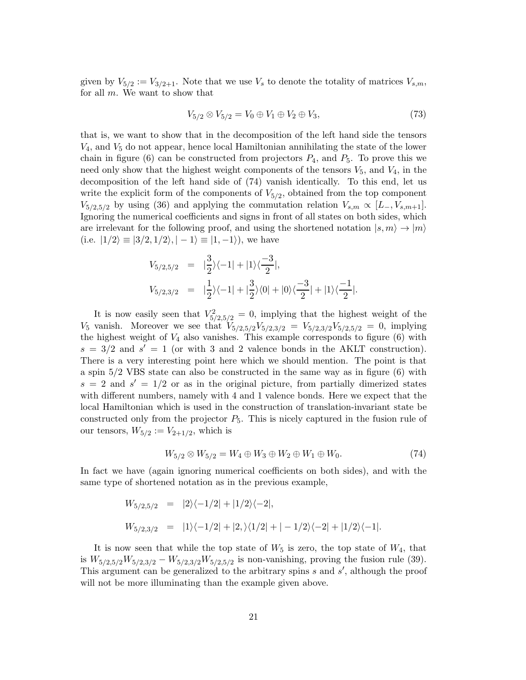given by  $V_{5/2} := V_{3/2+1}$ . Note that we use  $V_s$  to denote the totality of matrices  $V_{s,m}$ , for all m. We want to show that

$$
V_{5/2} \otimes V_{5/2} = V_0 \oplus V_1 \oplus V_2 \oplus V_3, \tag{73}
$$

that is, we want to show that in the decomposition of the left hand side the tensors  $V_4$ , and  $V_5$  do not appear, hence local Hamiltonian annihilating the state of the lower chain in figure (6) can be constructed from projectors  $P_4$ , and  $P_5$ . To prove this we need only show that the highest weight components of the tensors  $V_5$ , and  $V_4$ , in the decomposition of the left hand side of (74) vanish identically. To this end, let us write the explicit form of the components of  $V_{5/2}$ , obtained from the top component  $V_{5/2,5/2}$  by using (36) and applying the commutation relation  $V_{s,m} \propto [L_-, V_{s,m+1}]$ . Ignoring the numerical coefficients and signs in front of all states on both sides, which are irrelevant for the following proof, and using the shortened notation  $|s, m\rangle \rightarrow |m\rangle$ (i.e.  $|1/2\rangle \equiv |3/2, 1/2\rangle, |-1\rangle \equiv |1, -1\rangle)$ , we have

$$
V_{5/2,5/2} = |\frac{3}{2}\rangle\langle -1| + |1\rangle\langle \frac{-3}{2}|,
$$
  
\n
$$
V_{5/2,3/2} = |\frac{1}{2}\rangle\langle -1| + |\frac{3}{2}\rangle\langle 0| + |0\rangle\langle \frac{-3}{2}| + |1\rangle\langle \frac{-1}{2}|.
$$

It is now easily seen that  $V_{5/2,5/2}^2 = 0$ , implying that the highest weight of the  $V_5$  vanish. Moreover we see that  $V_{5/2,5/2}V_{5/2,3/2} = V_{5/2,3/2}V_{5/2,5/2} = 0$ , implying the highest weight of  $V_4$  also vanishes. This example corresponds to figure (6) with  $s = 3/2$  and  $s' = 1$  (or with 3 and 2 valence bonds in the AKLT construction). There is a very interesting point here which we should mention. The point is that a spin 5/2 VBS state can also be constructed in the same way as in figure (6) with  $s = 2$  and  $s' = 1/2$  or as in the original picture, from partially dimerized states with different numbers, namely with 4 and 1 valence bonds. Here we expect that the local Hamiltonian which is used in the construction of translation-invariant state be constructed only from the projector  $P_5$ . This is nicely captured in the fusion rule of our tensors,  $W_{5/2} := V_{2+1/2}$ , which is

$$
W_{5/2} \otimes W_{5/2} = W_4 \oplus W_3 \oplus W_2 \oplus W_1 \oplus W_0. \tag{74}
$$

In fact we have (again ignoring numerical coefficients on both sides), and with the same type of shortened notation as in the previous example,

$$
W_{5/2,5/2} = |2\rangle\langle -1/2| + |1/2\rangle\langle -2|,
$$
  
\n
$$
W_{5/2,3/2} = |1\rangle\langle -1/2| + |2\rangle\langle 1/2| + |-1/2\rangle\langle -2| + |1/2\rangle\langle -1|.
$$

It is now seen that while the top state of  $W_5$  is zero, the top state of  $W_4$ , that is  $W_{5/2,5/2}W_{5/2,3/2}-W_{5/2,3/2}W_{5/2,5/2}$  is non-vanishing, proving the fusion rule (39). This argument can be generalized to the arbitrary spins s and s', although the proof will not be more illuminating than the example given above.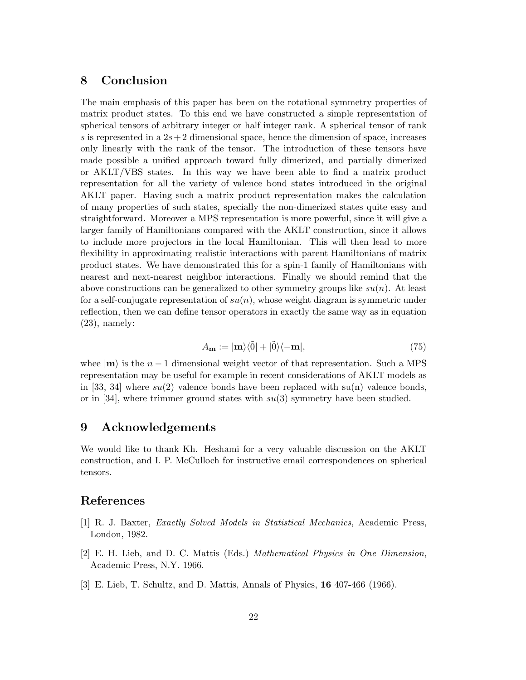# 8 Conclusion

The main emphasis of this paper has been on the rotational symmetry properties of matrix product states. To this end we have constructed a simple representation of spherical tensors of arbitrary integer or half integer rank. A spherical tensor of rank s is represented in a  $2s+2$  dimensional space, hence the dimension of space, increases only linearly with the rank of the tensor. The introduction of these tensors have made possible a unified approach toward fully dimerized, and partially dimerized or AKLT/VBS states. In this way we have been able to find a matrix product representation for all the variety of valence bond states introduced in the original AKLT paper. Having such a matrix product representation makes the calculation of many properties of such states, specially the non-dimerized states quite easy and straightforward. Moreover a MPS representation is more powerful, since it will give a larger family of Hamiltonians compared with the AKLT construction, since it allows to include more projectors in the local Hamiltonian. This will then lead to more flexibility in approximating realistic interactions with parent Hamiltonians of matrix product states. We have demonstrated this for a spin-1 family of Hamiltonians with nearest and next-nearest neighbor interactions. Finally we should remind that the above constructions can be generalized to other symmetry groups like  $su(n)$ . At least for a self-conjugate representation of  $su(n)$ , whose weight diagram is symmetric under reflection, then we can define tensor operators in exactly the same way as in equation  $(23)$ , namely:

$$
A_{\mathbf{m}} := |\mathbf{m}\rangle\langle\tilde{0}| + |\tilde{0}\rangle\langle-\mathbf{m}|,\tag{75}
$$

whee  $|m\rangle$  is the  $n-1$  dimensional weight vector of that representation. Such a MPS representation may be useful for example in recent considerations of AKLT models as in [33, 34] where  $su(2)$  valence bonds have been replaced with  $su(n)$  valence bonds, or in [34], where trimmer ground states with  $su(3)$  symmetry have been studied.

### 9 Acknowledgements

We would like to thank Kh. Heshami for a very valuable discussion on the AKLT construction, and I. P. McCulloch for instructive email correspondences on spherical tensors.

### References

- [1] R. J. Baxter, Exactly Solved Models in Statistical Mechanics, Academic Press, London, 1982.
- [2] E. H. Lieb, and D. C. Mattis (Eds.) Mathematical Physics in One Dimension, Academic Press, N.Y. 1966.
- [3] E. Lieb, T. Schultz, and D. Mattis, Annals of Physics, 16 407-466 (1966).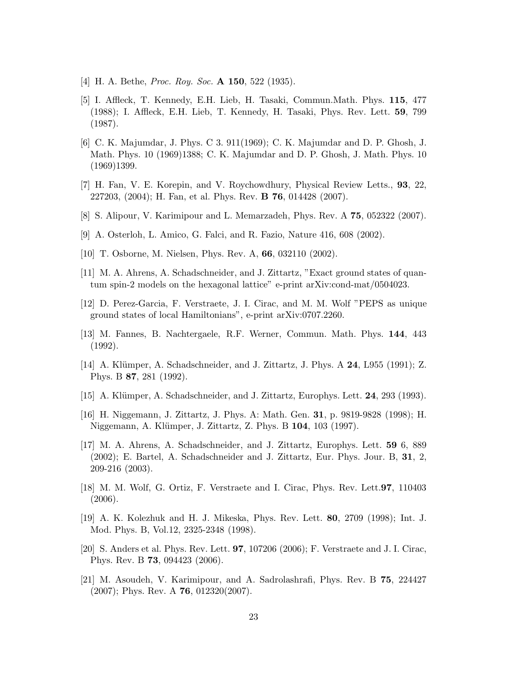- [4] H. A. Bethe, *Proc. Roy. Soc.* **A 150**, 522 (1935).
- [5] I. Affleck, T. Kennedy, E.H. Lieb, H. Tasaki, Commun.Math. Phys. 115, 477 (1988); I. Affleck, E.H. Lieb, T. Kennedy, H. Tasaki, Phys. Rev. Lett. 59, 799 (1987).
- [6] C. K. Majumdar, J. Phys. C 3. 911(1969); C. K. Majumdar and D. P. Ghosh, J. Math. Phys. 10 (1969)1388; C. K. Majumdar and D. P. Ghosh, J. Math. Phys. 10 (1969)1399.
- [7] H. Fan, V. E. Korepin, and V. Roychowdhury, Physical Review Letts., 93, 22, 227203, (2004); H. Fan, et al. Phys. Rev. B 76, 014428 (2007).
- [8] S. Alipour, V. Karimipour and L. Memarzadeh, Phys. Rev. A 75, 052322 (2007).
- [9] A. Osterloh, L. Amico, G. Falci, and R. Fazio, Nature 416, 608 (2002).
- [10] T. Osborne, M. Nielsen, Phys. Rev. A, 66, 032110 (2002).
- [11] M. A. Ahrens, A. Schadschneider, and J. Zittartz, "Exact ground states of quantum spin-2 models on the hexagonal lattice" e-print arXiv:cond-mat/0504023.
- [12] D. Perez-Garcia, F. Verstraete, J. I. Cirac, and M. M. Wolf "PEPS as unique ground states of local Hamiltonians", e-print arXiv:0707.2260.
- [13] M. Fannes, B. Nachtergaele, R.F. Werner, Commun. Math. Phys. 144, 443 (1992).
- [14] A. Klümper, A. Schadschneider, and J. Zittartz, J. Phys. A 24, L955 (1991); Z. Phys. B 87, 281 (1992).
- [15] A. Klümper, A. Schadschneider, and J. Zittartz, Europhys. Lett. 24, 293 (1993).
- [16] H. Niggemann, J. Zittartz, J. Phys. A: Math. Gen. 31, p. 9819-9828 (1998); H. Niggemann, A. Klümper, J. Zittartz, Z. Phys. B 104, 103 (1997).
- [17] M. A. Ahrens, A. Schadschneider, and J. Zittartz, Europhys. Lett. 59 6, 889 (2002); E. Bartel, A. Schadschneider and J. Zittartz, Eur. Phys. Jour. B, 31, 2, 209-216 (2003).
- [18] M. M. Wolf, G. Ortiz, F. Verstraete and I. Cirac, Phys. Rev. Lett.97, 110403 (2006).
- [19] A. K. Kolezhuk and H. J. Mikeska, Phys. Rev. Lett. 80, 2709 (1998); Int. J. Mod. Phys. B, Vol.12, 2325-2348 (1998).
- [20] S. Anders et al. Phys. Rev. Lett. 97, 107206 (2006); F. Verstraete and J. I. Cirac, Phys. Rev. B 73, 094423 (2006).
- [21] M. Asoudeh, V. Karimipour, and A. Sadrolashrafi, Phys. Rev. B 75, 224427  $(2007)$ ; Phys. Rev. A **76**, 012320 $(2007)$ .